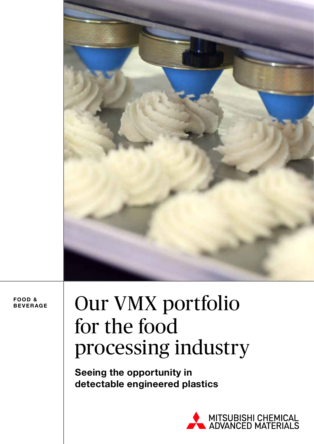

**FOOD & BEVERAGE**

# Our VMX portfolio for the food processing industry

**Seeing the opportunity in detectable engineered plastics** 

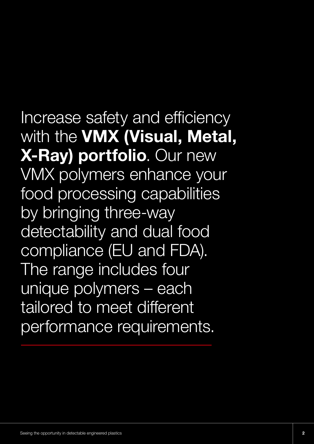Increase safety and efficiency with the **VMX (Visual, Metal, X-Ray) portfolio**. Our new VMX polymers enhance your food processing capabilities by bringing three-way detectability and dual food compliance (EU and FDA). The range includes four unique polymers – each tailored to meet different performance requirements.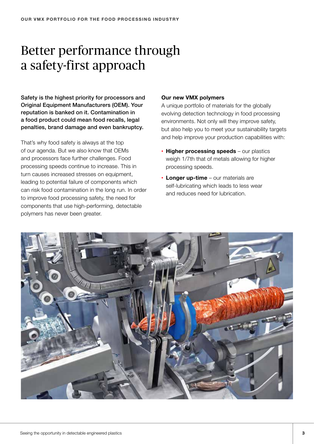# Better performance through a safety-first approach

Safety is the highest priority for processors and Original Equipment Manufacturers (OEM). Your reputation is banked on it. Contamination in a food product could mean food recalls, legal penalties, brand damage and even bankruptcy.

That's why food safety is always at the top of our agenda. But we also know that OEMs and processors face further challenges. Food processing speeds continue to increase. This in turn causes increased stresses on equipment, leading to potential failure of components which can risk food contamination in the long run. In order to improve food processing safety, the need for components that use high-performing, detectable polymers has never been greater.

#### **Our new VMX polymers**

A unique portfolio of materials for the globally evolving detection technology in food processing environments. Not only will they improve safety, but also help you to meet your sustainability targets and help improve your production capabilities with:

- **Higher processing speeds** our plastics weigh 1/7th that of metals allowing for higher processing speeds.
- **Longer up-time** our materials are self-lubricating which leads to less wear and reduces need for lubrication.

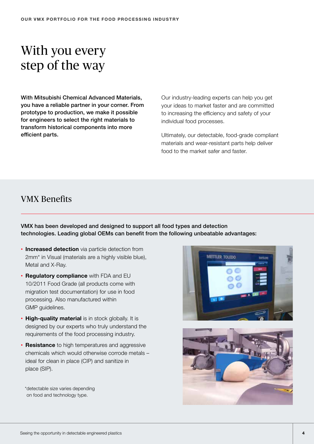# With you every step of the way

With Mitsubishi Chemical Advanced Materials, you have a reliable partner in your corner. From prototype to production, we make it possible for engineers to select the right materials to transform historical components into more efficient parts.

Our industry-leading experts can help you get your ideas to market faster and are committed to increasing the efficiency and safety of your individual food processes.

Ultimately, our detectable, food-grade compliant materials and wear-resistant parts help deliver food to the market safer and faster.

## VMX Benefits

VMX has been developed and designed to support all food types and detection technologies. Leading global OEMs can benefit from the following unbeatable advantages:

- **Increased detection** via particle detection from 2mm\* in Visual (materials are a highly visible blue), Metal and X-Ray.
- **Regulatory compliance** with FDA and EU 10/2011 Food Grade (all products come with migration test documentation) for use in food processing. Also manufactured within GMP guidelines.
- **High-quality material** is in stock globally. It is designed by our experts who truly understand the requirements of the food processing industry.
- **Resistance** to high temperatures and aggressive chemicals which would otherwise corrode metals – ideal for clean in place (CIP) and sanitize in place (SIP).

\*detectable size varies depending on food and technology type.



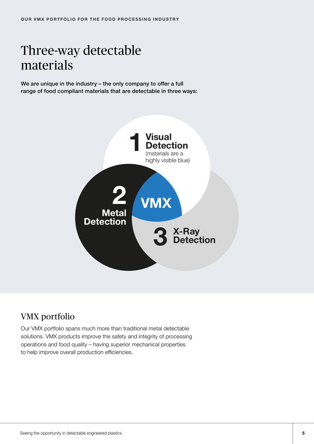# Three-way detectable materials

We are unique in the industry – the only company to offer a full range of food compliant materials that are detectable in three ways:



# VMX portfolio

Our VMX portfolio spans much more than traditional metal detectable solutions. VMX products improve the safety and integrity of processing operations and food quality – having superior mechanical properties to help improve overall production efficiencies.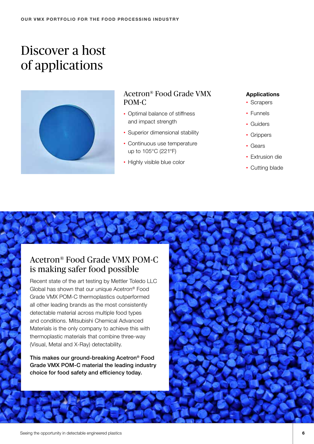# Discover a host of applications



### Acetron® Food Grade VMX POM-C

- Optimal balance of stiffness and impact strength
- Superior dimensional stability
- Continuous use temperature up to 105°C (221°F)
- Highly visible blue color

### **Applications**

- Scrapers
- Funnels
- Guiders
- Grippers
- Gears
- Extrusion die
- Cutting blade

## Acetron® Food Grade VMX POM-C is making safer food possible

Recent state of the art testing by Mettler Toledo LLC Global has shown that our unique Acetron® Food Grade VMX POM-C thermoplastics outperformed all other leading brands as the most consistently detectable material across multiple food types and conditions. Mitsubishi Chemical Advanced Materials is the only company to achieve this with thermoplastic materials that combine three-way (Visual, Metal and X-Ray) detectability.

This makes our ground-breaking Acetron® Food Grade VMX POM-C material the leading industry choice for food safety and efficiency today.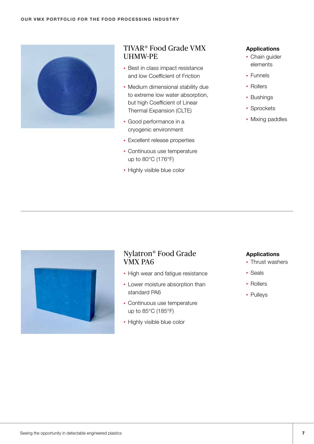

### TIVAR® Food Grade VMX UHMW-PE

- Best in class impact resistance and low Coefficient of Friction
- Medium dimensional stability due to extreme low water absorption, but high Coefficient of Linear Thermal Expansion (CLTE)
- Good performance in a cryogenic environment
- Excellent release properties
- Continuous use temperature up to 80°C (176°F)
- Highly visible blue color

#### **Applications**

- Chain guider elements
- Funnels
- Rollers
- Bushings
- Sprockets
- Mixing paddles



### Nylatron® Food Grade VMX PA6

- High wear and fatigue resistance
- Lower moisture absorption than standard PA6
- Continuous use temperature up to 85°C (185°F)
- Highly visible blue color

#### **Applications**

- Thrust washers
- Seals
- Rollers
- Pulleys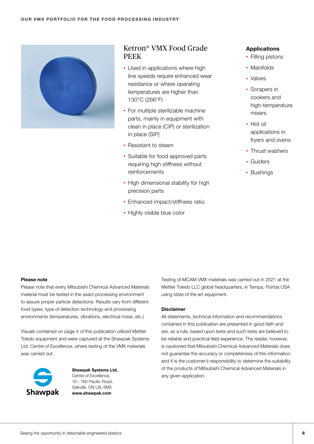

### Ketron® VMX Food Grade PEEK

- Used in applications where high line speeds require enhanced wear resistance or where operating temperatures are higher than 130°C (266°F)
- For multiple sterilizable machine parts, mainly in equipment with clean in place (CIP) or sterilization in place (SIP)
- Resistant to steam
- Suitable for food approved parts requiring high stiffness without reinforcements
- High dimensional stability for high precision parts
- Enhanced impact/stiffness ratio
- Highly visible blue color

#### **Applications**

- Filling pistons
- Manifolds
- Valves
- Scrapers in cookers and high-temperature mixers
- Hot oil applications in fryers and ovens
- Thrust washers
- Guiders
- Bushings

#### **Please note**

Please note that every Mitsubishi Chemical Advanced Materials material must be tested in the exact processing environment to assure proper particle detections. Results vary from different food types, type of detection technology and processing environments (temperatures, vibrations, electrical noise, etc.)

Visuals contained on page 4 of this publication utilized Mettler Toledo equipment and were captured at the Shawpak Systems Ltd. Centre of Excellence, where testing of the VMX materials was carried out.



**Shawpak Systems Ltd.** Centre of Excellence, 10 - 760 Pacific Road, Oakville, ON L6L 6M5 **www.shawpak.com**

Testing of MCAM VMX materials was carried out in 2021 at the Mettler Toledo LLC global headquarters, in Tampa, Florida USA using state of the art equipment.

#### **Disclaimer**

All statements, technical information and recommendations contained in this publication are presented in good faith and are, as a rule, based upon tests and such tests are believed to be reliable and practical field experience. The reader, however, is cautioned that Mitsubishi Chemical Advanced Materials does not guarantee the accuracy or completeness of this information and it is the customer's responsibility to determine the suitability of the products of Mitsubishi Chemical Advanced Materials in any given application.